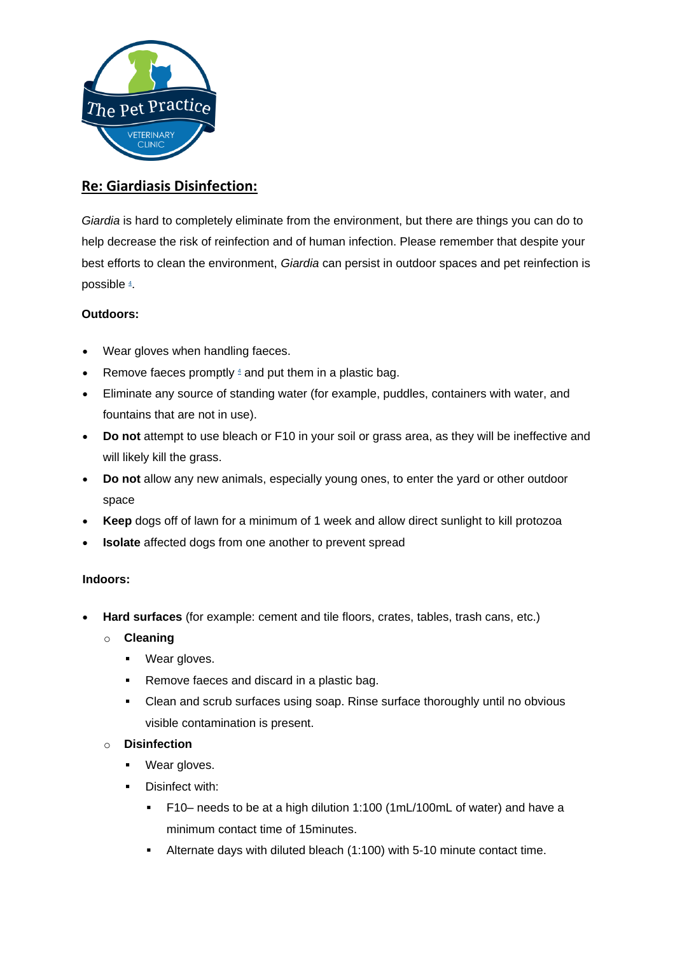

# **Re: Giardiasis Disinfection:**

*Giardia* is hard to completely eliminate from the environment, but there are things you can do to help decrease the risk of reinfection and of human infection. Please remember that despite your best efforts to clean the environment, *Giardia* can persist in outdoor spaces and pet reinfection is possible 4[.](https://www.cdc.gov/parasites/giardia/prevention-control-pets.html#four)

### **Outdoors:**

- Wear gloves when handling faeces.
- Remove faeces promptly  $4$  and put them in a plastic bag.
- Eliminate any source of standing water (for example, puddles, containers with water, and fountains that are not in use).
- **Do not** attempt to use bleach or F10 in your soil or grass area, as they will be ineffective and will likely kill the grass.
- **Do not** allow any new animals, especially young ones, to enter the yard or other outdoor space
- **Keep** dogs off of lawn for a minimum of 1 week and allow direct sunlight to kill protozoa
- **Isolate** affected dogs from one another to prevent spread

### **Indoors:**

- **Hard surfaces** (for example: cement and tile floors, crates, tables, trash cans, etc.)
	- o **Cleaning**
		- Wear gloves.
		- Remove faeces and discard in a plastic bag.
		- Clean and scrub surfaces using soap. Rinse surface thoroughly until no obvious visible contamination is present.

### o **Disinfection**

- Wear gloves.
- **•** Disinfect with:
	- F10– needs to be at a high dilution 1:100 (1mL/100mL of water) and have a minimum contact time of 15minutes.
	- Alternate days with diluted bleach (1:100) with 5-10 minute contact time.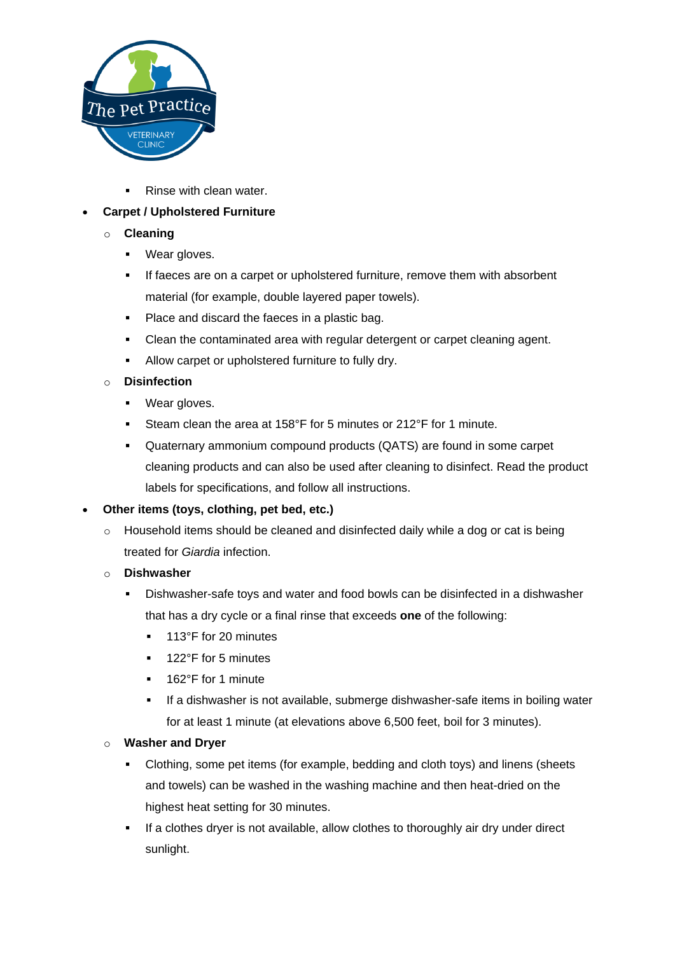

■ Rinse with clean water.

## • **Carpet / Upholstered Furniture**

- o **Cleaning**
	- Wear gloves.
	- If faeces are on a carpet or upholstered furniture, remove them with absorbent material (for example, double layered paper towels).
	- Place and discard the faeces in a plastic bag.
	- Clean the contaminated area with regular detergent or carpet cleaning agent.
	- Allow carpet or upholstered furniture to fully dry.

### o **Disinfection**

- Wear gloves.
- Steam clean the area at 158°F for 5 minutes or 212°F for 1 minute.
- Quaternary ammonium compound products (QATS) are found in some carpet cleaning products and can also be used after cleaning to disinfect. Read the product labels for specifications, and follow all instructions.

### • **Other items (toys, clothing, pet bed, etc.)**

- $\circ$  Household items should be cleaned and disinfected daily while a dog or cat is being treated for *Giardia* infection.
- o **Dishwasher**
	- Dishwasher-safe toys and water and food bowls can be disinfected in a dishwasher that has a dry cycle or a final rinse that exceeds **one** of the following:
		- 113°F for 20 minutes
		- 122°F for 5 minutes
		- 162°F for 1 minute
		- If a dishwasher is not available, submerge dishwasher-safe items in boiling water for at least 1 minute (at elevations above 6,500 feet, boil for 3 minutes).

### o **Washer and Dryer**

- Clothing, some pet items (for example, bedding and cloth toys) and linens (sheets and towels) can be washed in the washing machine and then heat-dried on the highest heat setting for 30 minutes.
- If a clothes dryer is not available, allow clothes to thoroughly air dry under direct sunlight.